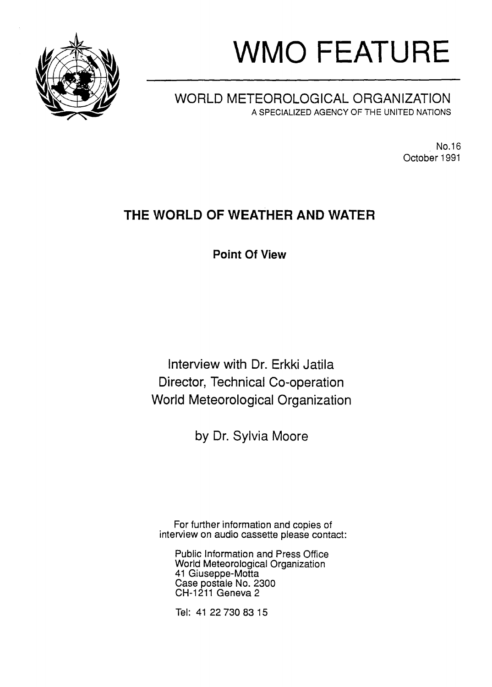

# **WMO FEATURE**

## **WORLD METEOROLOGICAL ORGANIZATION** A SPECIALIZED AGENCY OF THE UNITED NATIONS

NO.16 October 1991

## **THE WORLD OF WEATHER AND WATER**

**Point Of View**

**Interview with Dr. Erkki Jatila Director, Technical Co-operation World Meteorological Organization**

**by Dr. Sylvia Moore**

For further information and copies of interview on audio cassette please contact:

Public Information and Press Office World Meteorological Organization 41 Giuseppe-Motta Case postale No. 2300 CH-1211 Geneva 2

Tel: 41 227308315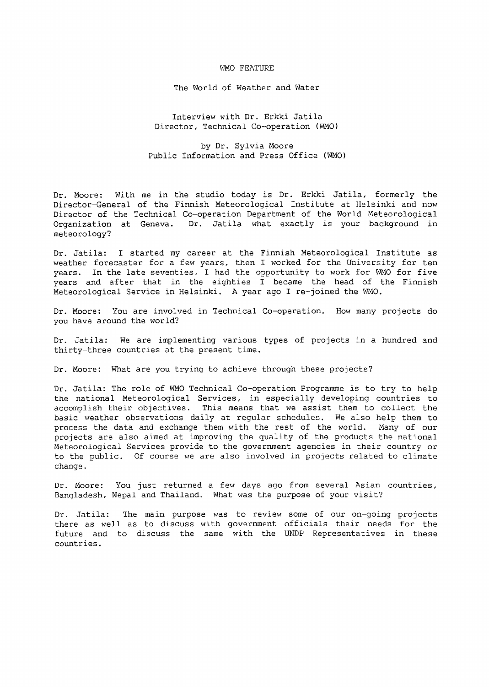#### WMO FEATURE

The World of Weather and Water

Interview with Dr. Erkki Jatila Director, Technical Co-operation (WMO)

by Dr. Sylvia Moore Public Information and Press Office (WMO)

Dr. Moore: With me in the studio today is Dr. Erkki Jatila, formerly the Director-General of the Finnish Meteorological Institute at Helsinki and now Director of the Technical Co-operation Department of the World Meteorological<br>Organization at Geneva. Dr. Jatila what exactly is your background in Dr. Jatila what exactly is your background in meteorology?

Dr. Jatila: <sup>I</sup> started my career at the Finnish Meteorological Institute as weather forecaster for a few years, then I worked for the University for ten years. In the late seventies, I had the opportunity to work for WMO for five years and after that in the eighties <sup>I</sup> became the head of the Finnish Meteorological Service in Helsinki. A year ago I re-joined the WMO.

Dr. Moore: You are involved in Technical Co-operation. How many projects do you have around the world?

Dr. Jatila: We are implementing various types of projects in a hundred and thirty-three countries at the present time.

Dr. Moore: What are you trying to achieve through these projects?

Dr. Jatila: The role of WMO Technical Co-operation Programme is to try to help the national Meteorological Services, in especially developing countries to accomplish their objectives. This means that we assist them to collect the basic weather observations daily at regular schedules. We also help them to process the data and exchange them with the rest of the world. Many of our projects are also aimed at improving the quality of the products the national Meteorological Services provide to the government agencies in their country or to the public. Of course we are also involved in projects related to climate change.

Dr. Moore: You just returned a few days ago from several Asian countries, Bangladesh, Nepal and Thailand. What was the purpose of your visit?

Dr. Jatila: The main purpose was to review some of our on-going projects there as well as to discuss with government officials their needs for the future and to discuss the same with the UNDP Representatives in these countries.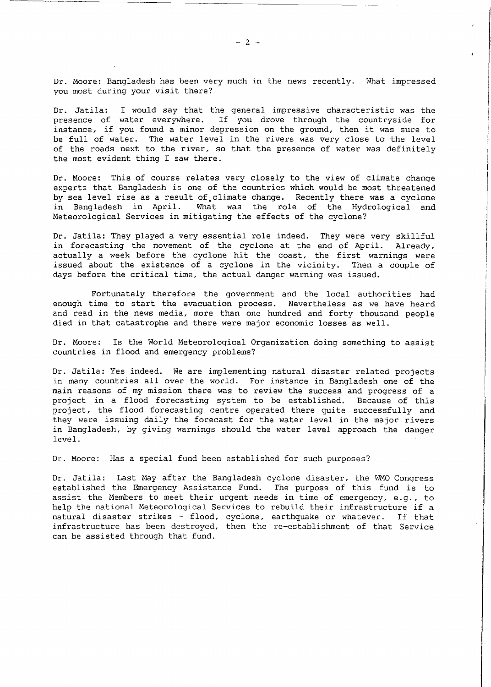Dr. Moore: Bangladesh has been very much in the news recently. What impressed you most during your visit there?

Dr. Jatila: <sup>I</sup> would say that the general impressive characteristic was the presence of water everywhere. If you drove through the countryside for instance, if you found <sup>a</sup> minor depression on the ground, then it was sure to be full of water. The water level in the rivers was very close to the level of the roads next to the river, so that the presence of water was definitely the most evident thing I saw there.

Dr. Moore: This of course relates very closely to the view of climate change experts that Bangladesh is one of the countries which would be most threatened by sea level rise as a result of climate change. Recently there was a cyclone in Bangladesh in April. What was the role of the Hydrological and Meteorological Services in mitigating the effects of the cyclone?

Dr. Jatila: They played <sup>a</sup> very essential role indeed. They were very skillful in forecasting the movement of the cyclone at the end of April. Already, actually <sup>a</sup> week before the cyclone hit the coast, the first warnings were issued about the existence of a cyclone in the vicinity. Then a couple of days before the critical time, the actual danger warning was issued.

Fortunately therefore the government and the local authorities had enough time to start the evacuation process. Nevertheless as we have heard and read in the news media, more than one hundred and forty thousand people died in that catastrophe and there were major economic losses as well.

Dr. Moore: Is the World Meteorological Organization doing something to assist countries in flood and emergency problems?

Dr. Jatila: Yes indeed. We are implementing natural disaster related projects in many countries all over the world. For instance in Bangladesh one of the main reasons of my mission there was to review the success and progress of a project in a flood forecasting system to be established. Because of this project, the flood forecasting centre operated there quite successfully and they were issuing daily the forecast for the water level in the major rivers in Bangladesh, by giving warnings should the water level approach the danger level.

Dr. Moore: Has a special fund been established for such purposes?

Dr. Jatila: Last May after the Bangladesh cyclone disaster, the WMO Congress established the Emergency Assistance Fund. The purpose of this fund is to assist the Members to meet their urgent needs in time of emergency, e.g., to help the national Meteorological Services to rebuild their infrastructure if <sup>a</sup> natural disaster strikes - flood, cyclone, earthquake or whatever. If that infrastructure has been destroyed, then the re-establishment of that Service can be assisted through that fund.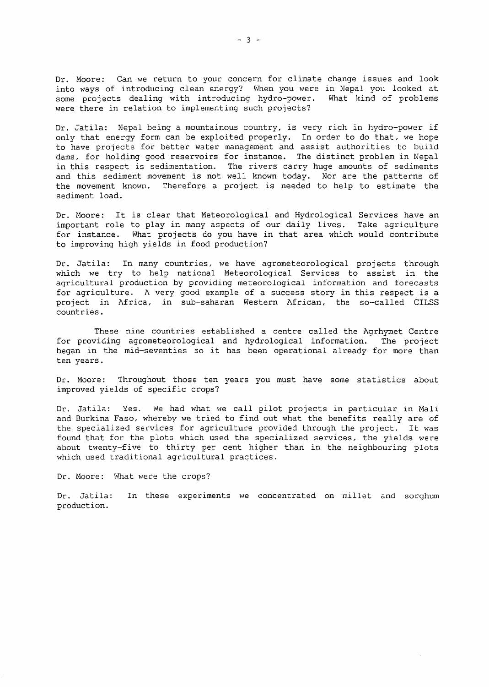Dr. Moore: Can we return to your concern for climate change issues and look into ways of introducing clean energy? When you were in Nepal you looked at<br>some projects dealing with introducing hydro-power. What kind of problems some projects dealing with introducing hydro-power. were there in relation to implementing such projects?

Dr. Jatila: Nepal being <sup>a</sup> mountainous country, is very rich in hydro-power if only that energy form can be exploited properly. In order to do that, we hope to have projects for better water management and assist authorities to build dams, for holding good reservoirs for instance. The distinct problem in Nepal in this respect is sedimentation. The rivers carry huge amounts of sediments and this sediment movement is not well known today. Nor are the patterns of the movement known. Therefore a project is needed to help to estimate the Therefore a project is needed to help to estimate the sediment load.

Dr. Moore: It is clear that Meteorological and Hydrological Services have an important role to play in many aspects of our daily lives. Take agriculture for instance. What projects do you have in that area which would contribute to improving high yields in food production?

Dr. Jatila: In many countries, we have agrometeorological projects through which we try to help national Meteorological Services to assist in the agricultural production by providing meteorological information and forecasts for agriculture. <sup>A</sup> very good example of <sup>a</sup> success story in this respect is <sup>a</sup> project in Africa, in sub-saharan Western African, the so-called CILSS countries.

These nine countries established a centre called the Agrhymet Centre for providing agrometeorological and hydrological information. The project began in the mid-seventies so it has been operational already for more than ten years.

Dr. Moore: Throughout those ten years you must have some statistics about improved yields of specific crops?

Dr. Jatila: Yes. We had what we call pilot projects in particular in Mali and Burkina Paso, whereby we tried to find out what the benefits really are of the specialized services for agriculture provided through the project. It was found that for the plots which used the specialized services, the yields were about twenty-five to thirty per cent higher than in the neighbouring plots which used traditional agricultural practices.

Dr. Moore: What were the crops?

Dr. Jatila: In these experiments we concentrated on millet and sorghumproduction.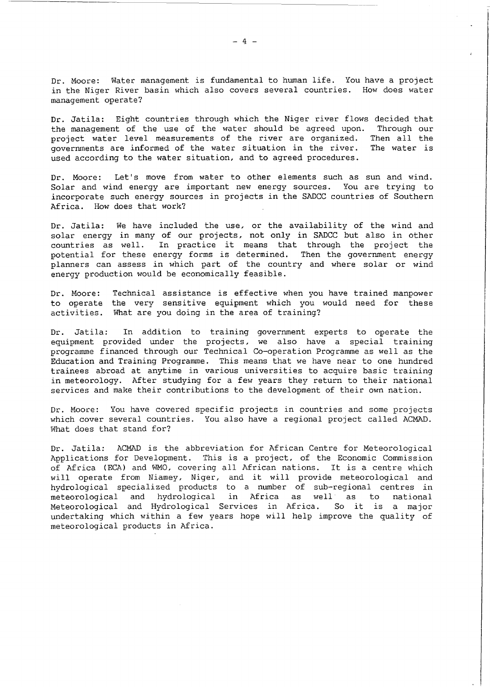Dr. Moore: Water management is fundamental to human life. You have <sup>a</sup> project in the Niger River basin which also covers several countries. How does water management operate?

Dr. Jatila: Eight countries through which the Niger river flows decided that<br>the management of the use of the water should be agreed upon. Through our the management of the use of the water should be agreed upon. project water level measurements of the river are organized. Then all the governments are informed of the water situation in the river. The water is governments are informed of the water situation in the river. used according to the water situation, and to agreed procedures.

Dr. Moore: Let's move from water to other elements such as sun and wind. Solar and wind energy are important new energy sources. You are trying to incorporate such energy sources *in* projects *in* the SADCC countries of Southern Africa. How does that work?

Dr. Jatila: We have included the use, or the availability of the wind and solar energy in many of our projects, not only in SADCC but also in other countries as well. In practice it means that through the project the potential for these energy forms is determined. Then the government energy planners can assess in which part of the country and where solar or wind energy production would be economically feasible.

Dr. Moore: to operate the very sensitive equipment which you would need for these activities. What are you doing in the area of training? Technical assistance is effective when you have trained manpower

Dr. Jatila: In addition to training government experts to operate the equipment provided under the projects, we also have a special training programme financed through our Technical Co-operation Programme as well as the Education and Training Programme. This means that we have near to one hundred trainees abroad at anytime *in* various universities to acquire basic training in meteorology. After studying for a few years they return to their national services and make their contributions to the development of their own nation.

Dr. Moore: You have covered specific projects in countries and some projects which cover several countries. You also have a regional project called ACMAD. What does that stand for?

Dr. Jatila: ACMAD is the abbreviation for African Centre for Meteorological Applications for Development. This is a project, of the Economic Commission of Africa (ECA) and WMO, covering all African nations. It is <sup>a</sup> centre which will operate from Niamey, Niger, and it will provide meteorological and hydrological specialized products to a number of sub-regional centres in meteorological and hydrological in Africa as well as to national Meteorological and Hydrological Services in Africa. So it is <sup>a</sup> major undertaking which within a few years hope will help improve the quality of meteorological products in Africa.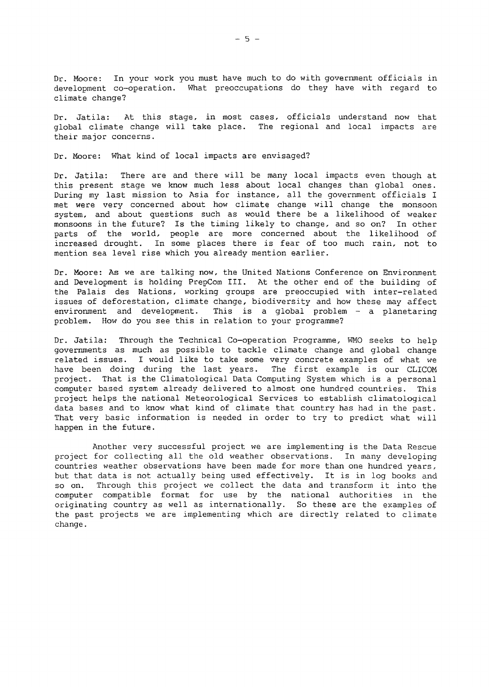Dr. Moore: In your work you must have much to do with government officials in development co-operation. What preoccupations do they have with regard to climate change?

Dr. Jatila: global climate change will take place. The regional and local impacts are their major concerns. stage, in most cases, officials understand now that

Dr. Moore: What kind of local impacts are envisaged?

Dr. Jatila: There are and there will be many local impacts even though at this present stage we know much less about local changes than global ones. During my last mission to Asia for instance, all the government officials <sup>I</sup> met were very concerned about how climate change will change the monsoon system, and about questions such as would there be a likelihood of weaker monsoons in the future? Is the timing likely to change, and so on? In other parts of the world, people are more concerned about the likelihood of .<br>increased drought. In some places there is fear of too much rain, not to mention sea level rise which you already mention earlier.

Dr. Moore: As we are talking now, the United Nations Conference on Environment and Development is holding PrepCom 111. At the other end of the building of the Palais des Nations, working groups are preoccupied with inter-related issues of deforestation, climate change, biodiversity and how these may affect environment and development. This is a global problem  $-$  a planetaring problem. How do you see this in relation to your programme?

Dr. Jatila: Through the Technical Co-operation Programme, WMO seeks to help governments as much as possible to tackle climate change and global change related issues. I would like to take some very concrete examples of what we have been doing during the last years. The first example is our CLICOM project. That is the Climatological Data Computing System which is <sup>a</sup> personal computer based system already delivered to almost one hundred countries. This project helps the national Meteorological Services to establish climatological data bases and to know what kind of climate that country has had in the past. That very basic information is needed in order to try to predict what will happen in the future.

Another very successful project we are implementing is the Data Rescue project for collecting all the old weather observations. In many developing countries weather observations have been made for more than one hundred years, but that data is not actually being used effectively. It is in log books and so on. Through this project we collect the data and transform it into the computer compatible format for use by the national authorities in the originating country as well as internationally. So these are the examples of the past projects we are implementing which are directly related to climate change.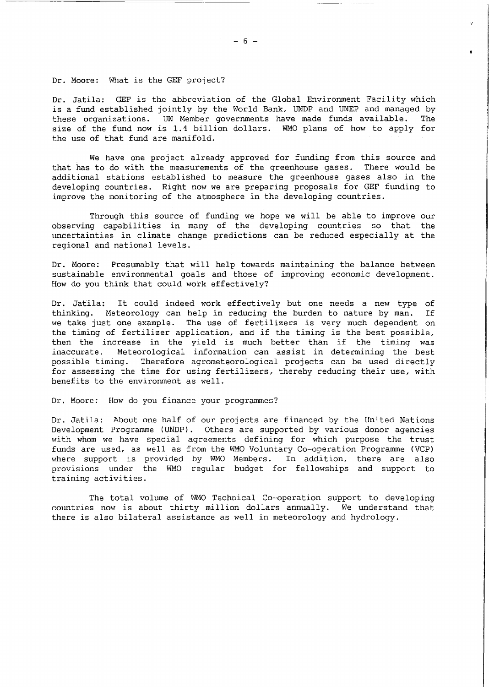Dr. Moore: What is the GEF project?

Dr. Jatila: GEF is the abbreviation of the Global Environment Facility which is <sup>a</sup> fund established jointly by the World Bank, UNDP and UNEP and managed by these organizations. UN Member governments have made funds available. The size of the fund now is 1.4 billion dollars. WMO plans of how to apply for the use of that fund are manifold.

We have one project already approved for funding from this source and that has to do with the measurements of the greenhouse gases. There would be additional stations established to measure the greenhouse gases also in the developing countries. Right now we are preparing proposals for GEF funding to improve the monitoring of the atmosphere in the developing countries.

Through this source of funding we hope we will be able to improve our observing capabilities in many of the developing countries so that the uncertainties in climate change predictions can be reduced especially at the regional and national levels.

Dr. Moore: Presumably that will help towards maintaining the balance between sustainable environmental goals and those of improving economic development. How do you think that could work effectively?

Dr. Jatila: It could indeed work effectively but one needs <sup>a</sup> new type of thinking. Meteorology can help in reducing the burden to nature by man. If we take just one example. The use of fertilizers is very much dependent on the timing of fertilizer application, and if the timing is the best possible, then the increase in the yield is much better than if the timing was<br>inaccurate. Meteorological information can assist in determining the best Meteorological information can assist in determining the best possible timing. Therefore agrometeorological projects can be used directly for assessing the time for using fertilizers, thereby reducing their use, with benefits to the environment as well.

### Dr. Moore: How do you finance your programmes?

Dr. Jatila: About one half of our projects are financed by the United Nations Development Programme (UNDP). Others are supported by various donor agencies with whom we have special agreements defining for which purpose the trust funds are used, as well as from the WMO Voluntary Co-operation Programme (VCP) where support is provided by WMO Members. In addition, there are also provisions under the WMO regular budget for fellowships and support to training activities.

The total volume of WMO Technical Co-operation support to developing countries now is about thirty million dollars annually. We understand that there is also bilateral assistance as well in meteorology and hydrology.